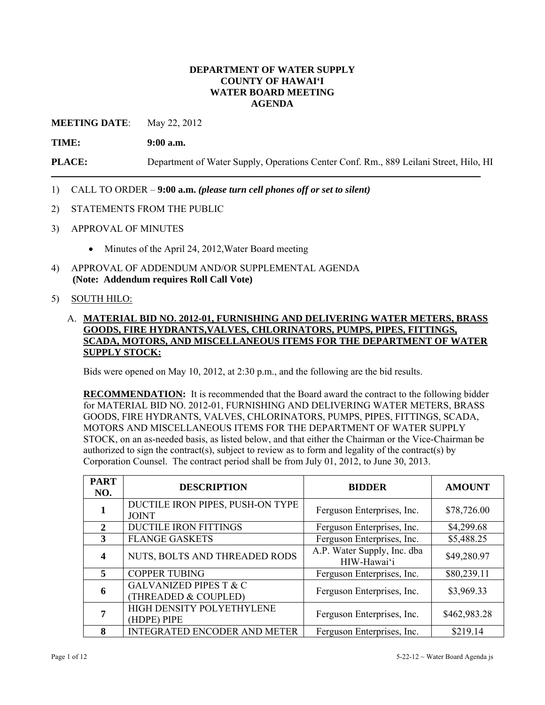### **DEPARTMENT OF WATER SUPPLY COUNTY OF HAWAI'I WATER BOARD MEETING AGENDA**

**MEETING DATE:** May 22, 2012

**TIME: 9:00 a.m.**

**PLACE:** Department of Water Supply, Operations Center Conf. Rm., 889 Leilani Street, Hilo, HI

- 1) CALL TO ORDER **9:00 a.m.** *(please turn cell phones off or set to silent)*
- 2) STATEMENTS FROM THE PUBLIC
- 3) APPROVAL OF MINUTES
	- Minutes of the April 24, 2012, Water Board meeting
- 4) APPROVAL OF ADDENDUM AND/OR SUPPLEMENTAL AGENDA **(Note: Addendum requires Roll Call Vote)**

### 5) SOUTH HILO:

## A. **MATERIAL BID NO. 2012-01, FURNISHING AND DELIVERING WATER METERS, BRASS GOODS, FIRE HYDRANTS,VALVES, CHLORINATORS, PUMPS, PIPES, FITTINGS, SCADA, MOTORS, AND MISCELLANEOUS ITEMS FOR THE DEPARTMENT OF WATER SUPPLY STOCK:**

Bids were opened on May 10, 2012, at 2:30 p.m., and the following are the bid results.

**RECOMMENDATION:** It is recommended that the Board award the contract to the following bidder for MATERIAL BID NO. 2012-01, FURNISHING AND DELIVERING WATER METERS, BRASS GOODS, FIRE HYDRANTS, VALVES, CHLORINATORS, PUMPS, PIPES, FITTINGS, SCADA, MOTORS AND MISCELLANEOUS ITEMS FOR THE DEPARTMENT OF WATER SUPPLY STOCK, on an as-needed basis, as listed below, and that either the Chairman or the Vice-Chairman be authorized to sign the contract(s), subject to review as to form and legality of the contract(s) by Corporation Counsel. The contract period shall be from July 01, 2012, to June 30, 2013.

| <b>PART</b><br>NO.          | <b>DESCRIPTION</b>                                        | <b>BIDDER</b>                              | <b>AMOUNT</b> |
|-----------------------------|-----------------------------------------------------------|--------------------------------------------|---------------|
|                             | DUCTILE IRON PIPES, PUSH-ON TYPE<br><b>JOINT</b>          | Ferguson Enterprises, Inc.                 | \$78,726.00   |
| $\mathcal{D}_{\mathcal{L}}$ | <b>DUCTILE IRON FITTINGS</b>                              | Ferguson Enterprises, Inc.                 | \$4,299.68    |
| 3                           | <b>FLANGE GASKETS</b>                                     | Ferguson Enterprises, Inc.                 | \$5,488.25    |
| 4                           | NUTS, BOLTS AND THREADED RODS                             | A.P. Water Supply, Inc. dba<br>HIW-Hawai'i | \$49,280.97   |
| $\overline{\mathbf{5}}$     | <b>COPPER TUBING</b>                                      | Ferguson Enterprises, Inc.                 | \$80,239.11   |
| 6                           | <b>GALVANIZED PIPES T &amp; C</b><br>(THREADED & COUPLED) | Ferguson Enterprises, Inc.                 | \$3,969.33    |
| 7                           | HIGH DENSITY POLYETHYLENE<br>(HDPE) PIPE                  | Ferguson Enterprises, Inc.                 | \$462,983.28  |
| 8                           | <b>INTEGRATED ENCODER AND METER</b>                       | Ferguson Enterprises, Inc.                 | \$219.14      |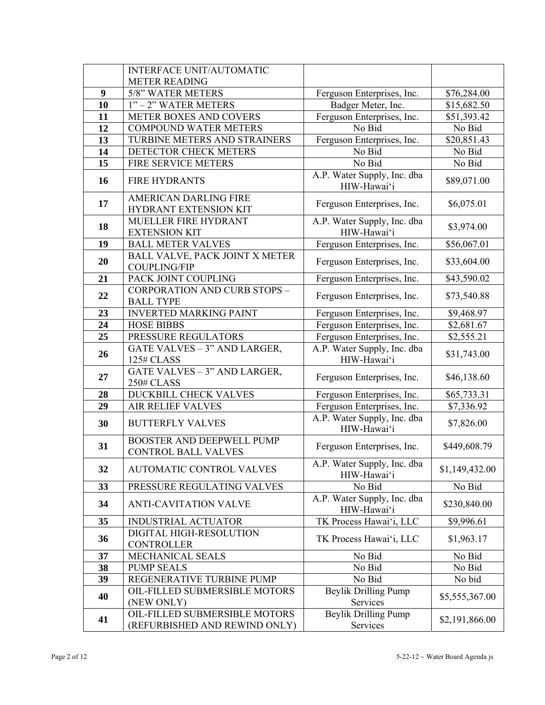|    | <b>INTERFACE UNIT/AUTOMATIC</b>                                |                                                              |                |
|----|----------------------------------------------------------------|--------------------------------------------------------------|----------------|
|    | <b>METER READING</b>                                           |                                                              |                |
| 9  | 5/8" WATER METERS                                              | Ferguson Enterprises, Inc.                                   | \$76,284.00    |
| 10 | 1" - 2" WATER METERS                                           | Badger Meter, Inc.                                           | \$15,682.50    |
| 11 | <b>METER BOXES AND COVERS</b>                                  | Ferguson Enterprises, Inc.                                   | \$51,393.42    |
| 12 | <b>COMPOUND WATER METERS</b>                                   | No Bid                                                       | No Bid         |
| 13 | TURBINE METERS AND STRAINERS                                   | Ferguson Enterprises, Inc.                                   | \$20,851.43    |
| 14 | DETECTOR CHECK METERS                                          | No Bid                                                       | No Bid         |
| 15 | FIRE SERVICE METERS                                            | No Bid                                                       | No Bid         |
| 16 | <b>FIRE HYDRANTS</b>                                           | A.P. Water Supply, Inc. dba<br>HIW-Hawai'i                   | \$89,071.00    |
| 17 | <b>AMERICAN DARLING FIRE</b><br>HYDRANT EXTENSION KIT          | Ferguson Enterprises, Inc.                                   | \$6,075.01     |
| 18 | MUELLER FIRE HYDRANT<br><b>EXTENSION KIT</b>                   | A.P. Water Supply, Inc. dba<br>HIW-Hawai'i                   | \$3,974.00     |
| 19 | <b>BALL METER VALVES</b>                                       | Ferguson Enterprises, Inc.                                   | \$56,067.01    |
| 20 | BALL VALVE, PACK JOINT X METER<br><b>COUPLING/FIP</b>          | Ferguson Enterprises, Inc.                                   | \$33,604.00    |
| 21 | PACK JOINT COUPLING                                            | Ferguson Enterprises, Inc.                                   | \$43,590.02    |
| 22 | <b>CORPORATION AND CURB STOPS -</b><br><b>BALL TYPE</b>        | Ferguson Enterprises, Inc.                                   | \$73,540.88    |
| 23 | <b>INVERTED MARKING PAINT</b>                                  | Ferguson Enterprises, Inc.                                   | \$9,468.97     |
| 24 | <b>HOSE BIBBS</b>                                              | Ferguson Enterprises, Inc.                                   | \$2,681.67     |
| 25 | PRESSURE REGULATORS                                            | Ferguson Enterprises, Inc.                                   | \$2,555.21     |
| 26 | GATE VALVES - 3" AND LARGER,<br>125# CLASS                     | A.P. Water Supply, Inc. dba<br>HIW-Hawai'i                   | \$31,743.00    |
| 27 | GATE VALVES - 3" AND LARGER,<br>250# CLASS                     | Ferguson Enterprises, Inc.                                   | \$46,138.60    |
| 28 | DUCKBILL CHECK VALVES                                          | Ferguson Enterprises, Inc.                                   | \$65,733.31    |
| 29 | <b>AIR RELIEF VALVES</b>                                       | Ferguson Enterprises, Inc.                                   | \$7,336.92     |
| 30 | <b>BUTTERFLY VALVES</b>                                        | A.P. Water Supply, Inc. dba<br>HIW-Hawai'i                   | \$7,826.00     |
| 31 | <b>BOOSTER AND DEEPWELL PUMP</b><br><b>CONTROL BALL VALVES</b> | Ferguson Enterprises, Inc.                                   | \$449,608.79   |
| 32 | <b>AUTOMATIC CONTROL VALVES</b>                                | A.P. Water Supply, Inc. dba<br>\$1,149,432.00<br>HIW-Hawai'i |                |
| 33 | PRESSURE REGULATING VALVES                                     | No Bid                                                       | No Bid         |
| 34 | <b>ANTI-CAVITATION VALVE</b>                                   | A.P. Water Supply, Inc. dba<br>HIW-Hawai'i                   | \$230,840.00   |
| 35 | <b>INDUSTRIAL ACTUATOR</b>                                     | TK Process Hawai'i, LLC                                      | \$9,996.61     |
| 36 | DIGITAL HIGH-RESOLUTION<br><b>CONTROLLER</b>                   | TK Process Hawai'i, LLC                                      | \$1,963.17     |
| 37 | MECHANICAL SEALS                                               | No Bid                                                       | No Bid         |
| 38 | <b>PUMP SEALS</b>                                              | No Bid                                                       | No Bid         |
| 39 | REGENERATIVE TURBINE PUMP                                      | No Bid                                                       | No bid         |
| 40 | OIL-FILLED SUBMERSIBLE MOTORS<br>(NEW ONLY)                    | <b>Beylik Drilling Pump</b><br>Services                      | \$5,555,367.00 |
| 41 | OIL-FILLED SUBMERSIBLE MOTORS<br>(REFURBISHED AND REWIND ONLY) | <b>Beylik Drilling Pump</b><br>Services                      | \$2,191,866.00 |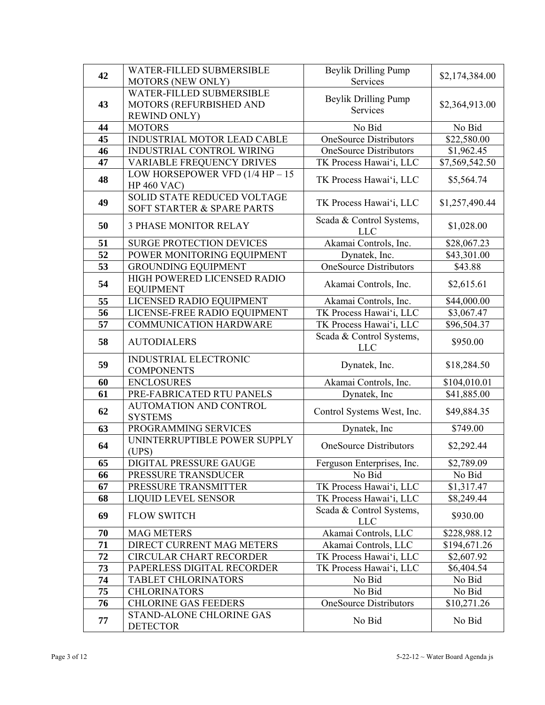| 42 | WATER-FILLED SUBMERSIBLE               | <b>Beylik Drilling Pump</b>          |                |  |
|----|----------------------------------------|--------------------------------------|----------------|--|
|    | <b>MOTORS (NEW ONLY)</b>               | Services                             | \$2,174,384.00 |  |
|    | WATER-FILLED SUBMERSIBLE               |                                      |                |  |
| 43 | MOTORS (REFURBISHED AND                | <b>Beylik Drilling Pump</b>          | \$2,364,913.00 |  |
|    | <b>REWIND ONLY)</b>                    | Services                             |                |  |
| 44 | <b>MOTORS</b>                          | No $Bi\overline{d}$                  | No Bid         |  |
| 45 | INDUSTRIAL MOTOR LEAD CABLE            | <b>OneSource Distributors</b>        | \$22,580.00    |  |
| 46 | INDUSTRIAL CONTROL WIRING              | <b>OneSource Distributors</b>        | \$1,962.45     |  |
| 47 | VARIABLE FREQUENCY DRIVES              | TK Process Hawai'i, LLC              | \$7,569,542.50 |  |
|    | LOW HORSEPOWER VFD $(1/4$ HP $- 15$    |                                      |                |  |
| 48 | <b>HP 460 VAC)</b>                     | TK Process Hawai'i, LLC              | \$5,564.74     |  |
|    | SOLID STATE REDUCED VOLTAGE            | TK Process Hawai'i, LLC              | \$1,257,490.44 |  |
| 49 | SOFT STARTER & SPARE PARTS             |                                      |                |  |
| 50 | <b>3 PHASE MONITOR RELAY</b>           | Scada & Control Systems,             | \$1,028.00     |  |
|    |                                        | <b>LLC</b>                           |                |  |
| 51 | <b>SURGE PROTECTION DEVICES</b>        | Akamai Controls, Inc.                | \$28,067.23    |  |
| 52 | POWER MONITORING EQUIPMENT             | Dynatek, Inc.                        | \$43,301.00    |  |
| 53 | <b>GROUNDING EQUIPMENT</b>             | <b>OneSource Distributors</b>        | \$43.88        |  |
| 54 | HIGH POWERED LICENSED RADIO            | Akamai Controls, Inc.                | \$2,615.61     |  |
|    | <b>EQUIPMENT</b>                       |                                      |                |  |
| 55 | LICENSED RADIO EQUIPMENT               | Akamai Controls, Inc.<br>\$44,000.00 |                |  |
| 56 | LICENSE-FREE RADIO EQUIPMENT           | TK Process Hawai'i, LLC              | \$3,067.47     |  |
| 57 | <b>COMMUNICATION HARDWARE</b>          | TK Process Hawai'i, LLC              | \$96,504.37    |  |
| 58 | <b>AUTODIALERS</b>                     | Scada & Control Systems,             | \$950.00       |  |
|    |                                        | <b>LLC</b>                           |                |  |
| 59 | INDUSTRIAL ELECTRONIC                  | Dynatek, Inc.                        | \$18,284.50    |  |
|    | <b>COMPONENTS</b>                      |                                      |                |  |
| 60 | <b>ENCLOSURES</b>                      | Akamai Controls, Inc.                | \$104,010.01   |  |
| 61 | PRE-FABRICATED RTU PANELS              | Dynatek, Inc.                        | \$41,885.00    |  |
| 62 | AUTOMATION AND CONTROL                 | Control Systems West, Inc.           | \$49,884.35    |  |
| 63 | <b>SYSTEMS</b><br>PROGRAMMING SERVICES | Dynatek, Inc.                        | \$749.00       |  |
|    | UNINTERRUPTIBLE POWER SUPPLY           |                                      |                |  |
| 64 | (UPS)                                  | <b>OneSource Distributors</b>        | \$2,292.44     |  |
| 65 | DIGITAL PRESSURE GAUGE                 | Ferguson Enterprises, Inc.           | \$2,789.09     |  |
| 66 | PRESSURE TRANSDUCER                    | No Bid                               | No Bid         |  |
| 67 | PRESSURE TRANSMITTER                   | TK Process Hawai'i, LLC              | \$1,317.47     |  |
| 68 | <b>LIQUID LEVEL SENSOR</b>             | TK Process Hawai'i, LLC              | \$8,249.44     |  |
|    |                                        | Scada & Control Systems,             |                |  |
| 69 | <b>FLOW SWITCH</b>                     | <b>LLC</b>                           | \$930.00       |  |
| 70 | <b>MAG METERS</b>                      | Akamai Controls, LLC                 | \$228,988.12   |  |
| 71 | DIRECT CURRENT MAG METERS              | Akamai Controls, LLC                 | \$194,671.26   |  |
| 72 | <b>CIRCULAR CHART RECORDER</b>         | TK Process Hawai'i, LLC              | \$2,607.92     |  |
| 73 | PAPERLESS DIGITAL RECORDER             | TK Process Hawai'i, LLC              | \$6,404.54     |  |
| 74 | TABLET CHLORINATORS                    | No Bid                               | No Bid         |  |
| 75 | <b>CHLORINATORS</b>                    | No Bid                               | No Bid         |  |
| 76 | <b>CHLORINE GAS FEEDERS</b>            | OneSource Distributors               | \$10,271.26    |  |
|    | STAND-ALONE CHLORINE GAS               |                                      |                |  |
| 77 | <b>DETECTOR</b>                        | No Bid                               | No Bid         |  |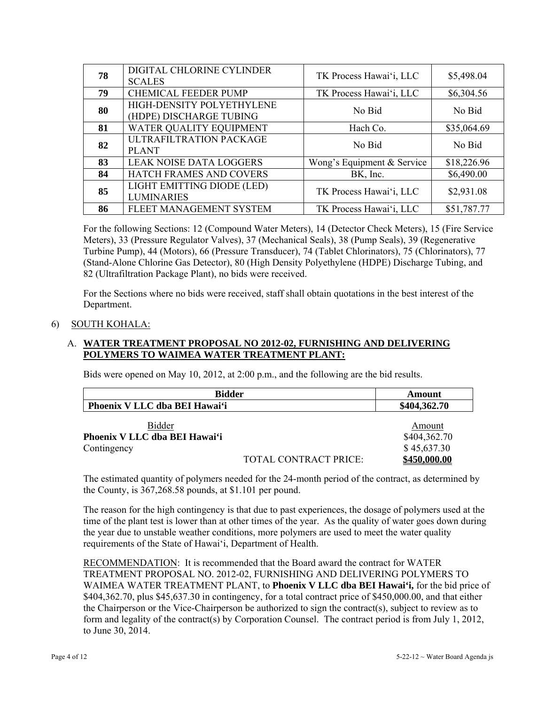| 78 | DIGITAL CHLORINE CYLINDER<br><b>SCALES</b>           | TK Process Hawai'i, LLC    | \$5,498.04  |
|----|------------------------------------------------------|----------------------------|-------------|
| 79 | <b>CHEMICAL FEEDER PUMP</b>                          | TK Process Hawai'i, LLC    | \$6,304.56  |
| 80 | HIGH-DENSITY POLYETHYLENE<br>(HDPE) DISCHARGE TUBING | No Bid                     | No Bid      |
| 81 | WATER QUALITY EQUIPMENT                              | Hach Co.                   | \$35,064.69 |
| 82 | ULTRAFILTRATION PACKAGE<br><b>PLANT</b>              | No Bid                     | No Bid      |
| 83 | <b>LEAK NOISE DATA LOGGERS</b>                       | Wong's Equipment & Service | \$18,226.96 |
| 84 | HATCH FRAMES AND COVERS                              | BK, Inc.                   | \$6,490.00  |
| 85 | LIGHT EMITTING DIODE (LED)<br><b>LUMINARIES</b>      | TK Process Hawai'i, LLC    | \$2,931.08  |
| 86 | FLEET MANAGEMENT SYSTEM                              | TK Process Hawai'i, LLC    | \$51,787.77 |

For the following Sections: 12 (Compound Water Meters), 14 (Detector Check Meters), 15 (Fire Service Meters), 33 (Pressure Regulator Valves), 37 (Mechanical Seals), 38 (Pump Seals), 39 (Regenerative Turbine Pump), 44 (Motors), 66 (Pressure Transducer), 74 (Tablet Chlorinators), 75 (Chlorinators), 77 (Stand-Alone Chlorine Gas Detector), 80 (High Density Polyethylene (HDPE) Discharge Tubing, and 82 (Ultrafiltration Package Plant), no bids were received.

For the Sections where no bids were received, staff shall obtain quotations in the best interest of the Department.

## 6) SOUTH KOHALA:

## A. **WATER TREATMENT PROPOSAL NO 2012-02, FURNISHING AND DELIVERING POLYMERS TO WAIMEA WATER TREATMENT PLANT:**

Bids were opened on May 10, 2012, at 2:00 p.m., and the following are the bid results.

| Bidder                        | Amount       |
|-------------------------------|--------------|
| Phoenix V LLC dba BEI Hawai'i | \$404,362.70 |

| <b>Bidder</b>                 |                       | Amount       |
|-------------------------------|-----------------------|--------------|
| Phoenix V LLC dba BEI Hawaiʻi |                       | \$404,362.70 |
| Contingency                   |                       | \$45,637.30  |
|                               | TOTAL CONTRACT PRICE: | \$450,000.00 |

The estimated quantity of polymers needed for the 24-month period of the contract, as determined by the County, is 367,268.58 pounds, at \$1.101 per pound.

The reason for the high contingency is that due to past experiences, the dosage of polymers used at the time of the plant test is lower than at other times of the year. As the quality of water goes down during the year due to unstable weather conditions, more polymers are used to meet the water quality requirements of the State of Hawai'i, Department of Health.

RECOMMENDATION: It is recommended that the Board award the contract for WATER TREATMENT PROPOSAL NO. 2012-02, FURNISHING AND DELIVERING POLYMERS TO WAIMEA WATER TREATMENT PLANT, to **Phoenix V LLC dba BEI Hawai'i,** for the bid price of \$404,362.70, plus \$45,637.30 in contingency, for a total contract price of \$450,000.00, and that either the Chairperson or the Vice-Chairperson be authorized to sign the contract(s), subject to review as to form and legality of the contract(s) by Corporation Counsel. The contract period is from July 1, 2012, to June 30, 2014.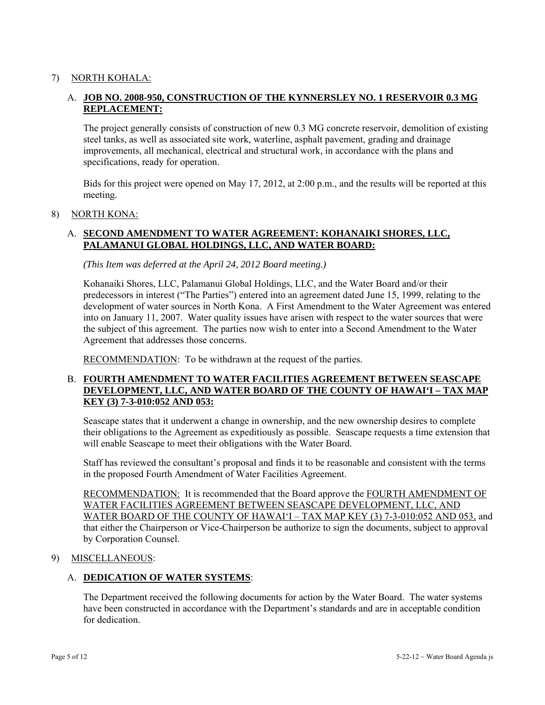## 7) NORTH KOHALA:

# A. **JOB NO. 2008-950, CONSTRUCTION OF THE KYNNERSLEY NO. 1 RESERVOIR 0.3 MG REPLACEMENT:**

The project generally consists of construction of new 0.3 MG concrete reservoir, demolition of existing steel tanks, as well as associated site work, waterline, asphalt pavement, grading and drainage improvements, all mechanical, electrical and structural work, in accordance with the plans and specifications, ready for operation.

Bids for this project were opened on May 17, 2012, at 2:00 p.m., and the results will be reported at this meeting.

#### 8) NORTH KONA:

## A. **SECOND AMENDMENT TO WATER AGREEMENT: KOHANAIKI SHORES, LLC, PALAMANUI GLOBAL HOLDINGS, LLC, AND WATER BOARD:**

*(This Item was deferred at the April 24, 2012 Board meeting.)* 

Kohanaiki Shores, LLC, Palamanui Global Holdings, LLC, and the Water Board and/or their predecessors in interest ("The Parties") entered into an agreement dated June 15, 1999, relating to the development of water sources in North Kona. A First Amendment to the Water Agreement was entered into on January 11, 2007. Water quality issues have arisen with respect to the water sources that were the subject of this agreement. The parties now wish to enter into a Second Amendment to the Water Agreement that addresses those concerns.

RECOMMENDATION: To be withdrawn at the request of the parties.

### B. **FOURTH AMENDMENT TO WATER FACILITIES AGREEMENT BETWEEN SEASCAPE DEVELOPMENT, LLC, AND WATER BOARD OF THE COUNTY OF HAWAI'I – TAX MAP KEY (3) 7-3-010:052 AND 053:**

Seascape states that it underwent a change in ownership, and the new ownership desires to complete their obligations to the Agreement as expeditiously as possible. Seascape requests a time extension that will enable Seascape to meet their obligations with the Water Board.

Staff has reviewed the consultant's proposal and finds it to be reasonable and consistent with the terms in the proposed Fourth Amendment of Water Facilities Agreement.

RECOMMENDATION: It is recommended that the Board approve the FOURTH AMENDMENT OF WATER FACILITIES AGREEMENT BETWEEN SEASCAPE DEVELOPMENT, LLC, AND WATER BOARD OF THE COUNTY OF HAWAI'I – TAX MAP KEY (3) 7-3-010:052 AND 053, and that either the Chairperson or Vice-Chairperson be authorize to sign the documents, subject to approval by Corporation Counsel.

### 9) MISCELLANEOUS:

### A. **DEDICATION OF WATER SYSTEMS**:

The Department received the following documents for action by the Water Board. The water systems have been constructed in accordance with the Department's standards and are in acceptable condition for dedication.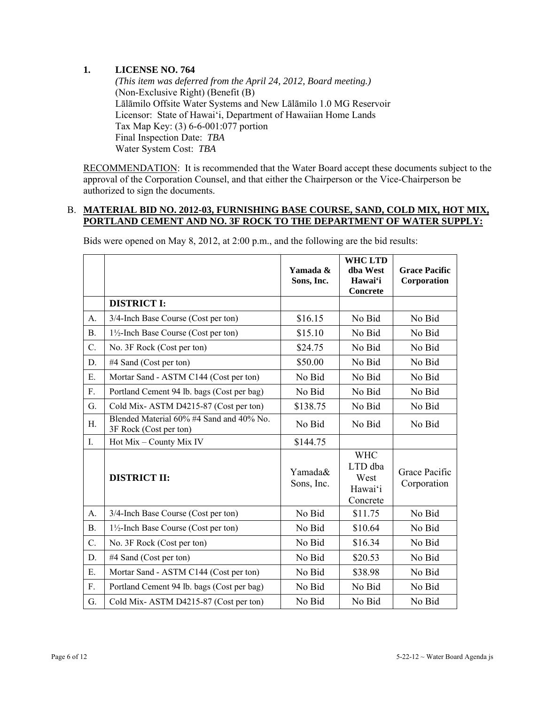## **1. LICENSE NO. 764**

 *(This item was deferred from the April 24, 2012, Board meeting.)*  (Non-Exclusive Right) (Benefit (B) Lālāmilo Offsite Water Systems and New Lālāmilo 1.0 MG Reservoir Licensor: State of Hawai'i, Department of Hawaiian Home Lands Tax Map Key: (3) 6-6-001:077 portion Final Inspection Date: *TBA* Water System Cost: *TBA*

RECOMMENDATION: It is recommended that the Water Board accept these documents subject to the approval of the Corporation Counsel, and that either the Chairperson or the Vice-Chairperson be authorized to sign the documents.

#### B. **MATERIAL BID NO. 2012-03, FURNISHING BASE COURSE, SAND, COLD MIX, HOT MIX, PORTLAND CEMENT AND NO. 3F ROCK TO THE DEPARTMENT OF WATER SUPPLY:**

|           |                                                                    | Yamada &<br>Sons, Inc. | <b>WHC LTD</b><br>dha West<br>Hawai'i<br><b>Concrete</b> | <b>Grace Pacific</b><br>Corporation |
|-----------|--------------------------------------------------------------------|------------------------|----------------------------------------------------------|-------------------------------------|
|           | <b>DISTRICT I:</b>                                                 |                        |                                                          |                                     |
| A.        | 3/4-Inch Base Course (Cost per ton)                                | \$16.15                | No Bid                                                   | No Bid                              |
| <b>B.</b> | 1½-Inch Base Course (Cost per ton)                                 | \$15.10                | No Bid                                                   | No Bid                              |
| C.        | No. 3F Rock (Cost per ton)                                         | \$24.75                | No Bid                                                   | No Bid                              |
| D.        | #4 Sand (Cost per ton)                                             | \$50.00                | No Bid                                                   | No Bid                              |
| E.        | Mortar Sand - ASTM C144 (Cost per ton)                             | No Bid                 | No Bid                                                   | No Bid                              |
| F.        | Portland Cement 94 lb. bags (Cost per bag)                         | No Bid                 | No Bid                                                   | No Bid                              |
| G.        | Cold Mix-ASTM D4215-87 (Cost per ton)                              | \$138.75               | No Bid                                                   | No Bid                              |
| Η.        | Blended Material 60% #4 Sand and 40% No.<br>3F Rock (Cost per ton) | No Bid                 | No Bid                                                   | No Bid                              |
| I.        | Hot Mix - County Mix IV                                            | \$144.75               |                                                          |                                     |
|           | <b>DISTRICT II:</b>                                                | Yamada&<br>Sons, Inc.  | <b>WHC</b><br>LTD dba<br>West<br>Hawai'i<br>Concrete     | Grace Pacific<br>Corporation        |
| A.        | 3/4-Inch Base Course (Cost per ton)                                | No Bid                 | \$11.75                                                  | No Bid                              |
| <b>B.</b> | $1\frac{1}{2}$ -Inch Base Course (Cost per ton)                    | No Bid                 | \$10.64                                                  | No Bid                              |
| C.        | No. 3F Rock (Cost per ton)                                         | No Bid                 | \$16.34                                                  | No Bid                              |
| D.        | #4 Sand (Cost per ton)                                             | No Bid                 | \$20.53                                                  | No Bid                              |
| E.        | Mortar Sand - ASTM C144 (Cost per ton)                             | No Bid                 | \$38.98                                                  | No Bid                              |
| F.        | Portland Cement 94 lb. bags (Cost per bag)                         | No Bid                 | No Bid                                                   | No Bid                              |
| G.        | Cold Mix-ASTM D4215-87 (Cost per ton)                              | No Bid                 | No Bid                                                   | No Bid                              |

Bids were opened on May 8, 2012, at 2:00 p.m., and the following are the bid results: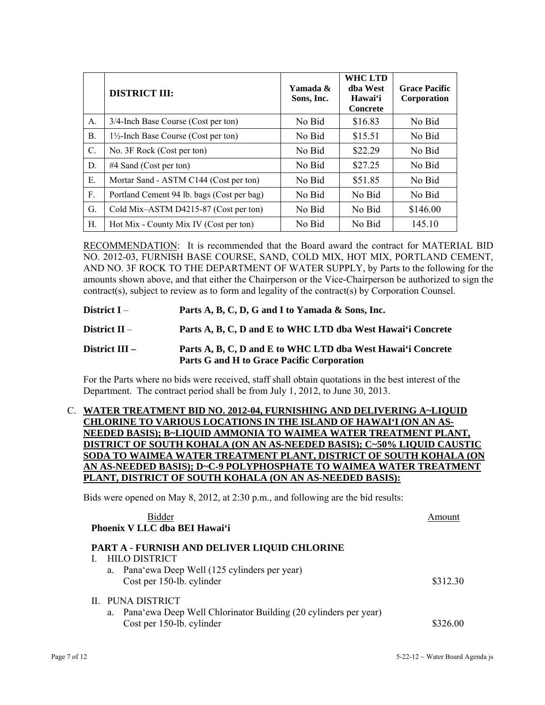|                 | <b>DISTRICT III:</b>                       | Yamada &<br>Sons, Inc. | <b>WHC LTD</b><br>dha West<br>Hawai'i<br><b>Concrete</b> | <b>Grace Pacific</b><br>Corporation |
|-----------------|--------------------------------------------|------------------------|----------------------------------------------------------|-------------------------------------|
| A.              | 3/4-Inch Base Course (Cost per ton)        | No Bid                 | \$16.83                                                  | No Bid                              |
| <b>B.</b>       | 1½-Inch Base Course (Cost per ton)         | No Bid                 | \$15.51                                                  | No Bid                              |
| $\mathcal{C}$ . | No. 3F Rock (Cost per ton)                 | No Bid                 | \$22.29                                                  | No Bid                              |
| D.              | $#4$ Sand (Cost per ton)                   | No Bid                 | \$27.25                                                  | No Bid                              |
| Е.              | Mortar Sand - ASTM C144 (Cost per ton)     | No Bid                 | \$51.85                                                  | No Bid                              |
| F.              | Portland Cement 94 lb. bags (Cost per bag) | No Bid                 | No Bid                                                   | No Bid                              |
| G.              | Cold Mix-ASTM D4215-87 (Cost per ton)      | No Bid                 | No Bid                                                   | \$146.00                            |
| Н.              | Hot Mix - County Mix IV (Cost per ton)     | No Bid                 | No Bid                                                   | 145.10                              |

RECOMMENDATION: It is recommended that the Board award the contract for MATERIAL BID NO. 2012-03, FURNISH BASE COURSE, SAND, COLD MIX, HOT MIX, PORTLAND CEMENT, AND NO. 3F ROCK TO THE DEPARTMENT OF WATER SUPPLY, by Parts to the following for the amounts shown above, and that either the Chairperson or the Vice-Chairperson be authorized to sign the contract(s), subject to review as to form and legality of the contract(s) by Corporation Counsel.

### **District I** – **Parts A, B, C, D, G and I to Yamada & Sons, Inc.**

**District II** – **Parts A, B, C, D and E to WHC LTD dba West Hawai'i Concrete** 

## **District III – Parts A, B, C, D and E to WHC LTD dba West Hawai'i Concrete Parts G and H to Grace Pacific Corporation**

For the Parts where no bids were received, staff shall obtain quotations in the best interest of the Department. The contract period shall be from July 1, 2012, to June 30, 2013.

### C. **WATER TREATMENT BID NO. 2012-04, FURNISHING AND DELIVERING A~LIQUID CHLORINE TO VARIOUS LOCATIONS IN THE ISLAND OF HAWAI'I (ON AN AS- NEEDED BASIS); B~LIQUID AMMONIA TO WAIMEA WATER TREATMENT PLANT, DISTRICT OF SOUTH KOHALA (ON AN AS-NEEDED BASIS); C~50% LIQUID CAUSTIC SODA TO WAIMEA WATER TREATMENT PLANT, DISTRICT OF SOUTH KOHALA AN AS-NEEDED BASIS); D~C-9 POLYPHOSPHATE TO WAIMEA WATER TREATMENT PLANT, DISTRICT OF SOUTH KOHALA (ON AN AS-NEEDED BASIS):**

Bids were opened on May 8, 2012, at 2:30 p.m., and following are the bid results:

| Bidder<br>Phoenix V LLC dba BEI Hawai'i                                                                              | Amount   |
|----------------------------------------------------------------------------------------------------------------------|----------|
| PART A - FURNISH AND DELIVER LIQUID CHLORINE<br><b>HILO DISTRICT</b>                                                 |          |
| a. Pana'ewa Deep Well (125 cylinders per year)<br>Cost per 150-lb. cylinder                                          | \$312.30 |
| II. PUNA DISTRICT<br>a. Pana'ewa Deep Well Chlorinator Building (20 cylinders per year)<br>Cost per 150-lb. cylinder | \$326.00 |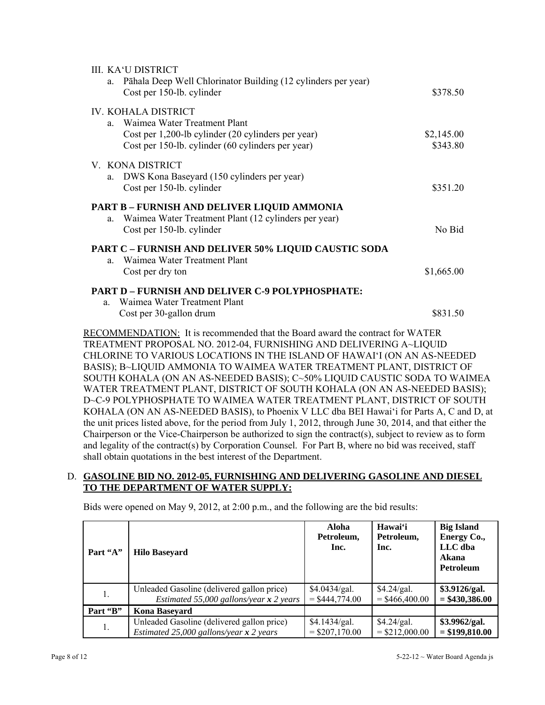| III. KA'U DISTRICT                                                       |            |
|--------------------------------------------------------------------------|------------|
| Pāhala Deep Well Chlorinator Building (12 cylinders per year)<br>$a_{-}$ |            |
| Cost per 150-lb. cylinder                                                | \$378.50   |
| IV. KOHALA DISTRICT                                                      |            |
| a. Waimea Water Treatment Plant                                          |            |
| Cost per 1,200-lb cylinder (20 cylinders per year)                       | \$2,145.00 |
| Cost per 150-lb. cylinder (60 cylinders per year)                        | \$343.80   |
| V. KONA DISTRICT                                                         |            |
| a. DWS Kona Baseyard (150 cylinders per year)                            |            |
| Cost per 150-lb. cylinder                                                | \$351.20   |
| PART B - FURNISH AND DELIVER LIQUID AMMONIA                              |            |
| Waimea Water Treatment Plant (12 cylinders per year)<br>a.               |            |
| Cost per 150-lb. cylinder                                                | No Bid     |
| <b>PART C - FURNISH AND DELIVER 50% LIQUID CAUSTIC SODA</b>              |            |
| Waimea Water Treatment Plant<br>a                                        |            |
| Cost per dry ton                                                         | \$1,665.00 |
| <b>PART D - FURNISH AND DELIVER C-9 POLYPHOSPHATE:</b>                   |            |
| Waimea Water Treatment Plant<br>a                                        |            |
| Cost per 30-gallon drum                                                  | \$831.50   |

RECOMMENDATION: It is recommended that the Board award the contract for WATER TREATMENT PROPOSAL NO. 2012-04, FURNISHING AND DELIVERING A~LIQUID CHLORINE TO VARIOUS LOCATIONS IN THE ISLAND OF HAWAI'I (ON AN AS-NEEDED BASIS); B~LIQUID AMMONIA TO WAIMEA WATER TREATMENT PLANT, DISTRICT OF SOUTH KOHALA (ON AN AS-NEEDED BASIS); C~50% LIQUID CAUSTIC SODA TO WAIMEA WATER TREATMENT PLANT, DISTRICT OF SOUTH KOHALA (ON AN AS-NEEDED BASIS); D~C-9 POLYPHOSPHATE TO WAIMEA WATER TREATMENT PLANT, DISTRICT OF SOUTH KOHALA (ON AN AS-NEEDED BASIS), to Phoenix V LLC dba BEI Hawai'i for Parts A, C and D, at the unit prices listed above, for the period from July 1, 2012, through June 30, 2014, and that either the Chairperson or the Vice-Chairperson be authorized to sign the contract(s), subject to review as to form and legality of the contract(s) by Corporation Counsel. For Part B, where no bid was received, staff shall obtain quotations in the best interest of the Department.

# D. **GASOLINE BID NO. 2012-05, FURNISHING AND DELIVERING GASOLINE AND DIESEL TO THE DEPARTMENT OF WATER SUPPLY:**

Bids were opened on May 9, 2012, at 2:00 p.m., and the following are the bid results:

| Part "A" | <b>Hilo Baseyard</b>                       | Aloha<br>Petroleum,<br>Inc. | Hawai'i<br>Petroleum,<br>Inc. | <b>Big Island</b><br>Energy Co.,<br>LLC dba<br>Akana<br>Petroleum |
|----------|--------------------------------------------|-----------------------------|-------------------------------|-------------------------------------------------------------------|
| 1.       | Unleaded Gasoline (delivered gallon price) | \$4.0434/gal.               | \$4.24/gal.                   | \$3.9126/gal.                                                     |
|          | Estimated 55,000 gallons/year $x$ 2 years  | $=$ \$444,774.00            | $=$ \$466,400.00              | $= $430,386.00$                                                   |
| Part "B" | <b>Kona Basevard</b>                       |                             |                               |                                                                   |
| 1.       | Unleaded Gasoline (delivered gallon price) | \$4.1434/gal.               | \$4.24/gal.                   | \$3.9962/gal.                                                     |
|          | Estimated 25,000 gallons/year $x$ 2 years  | $=$ \$207,170.00            | $=$ \$212,000.00              | $= $199,810.00$                                                   |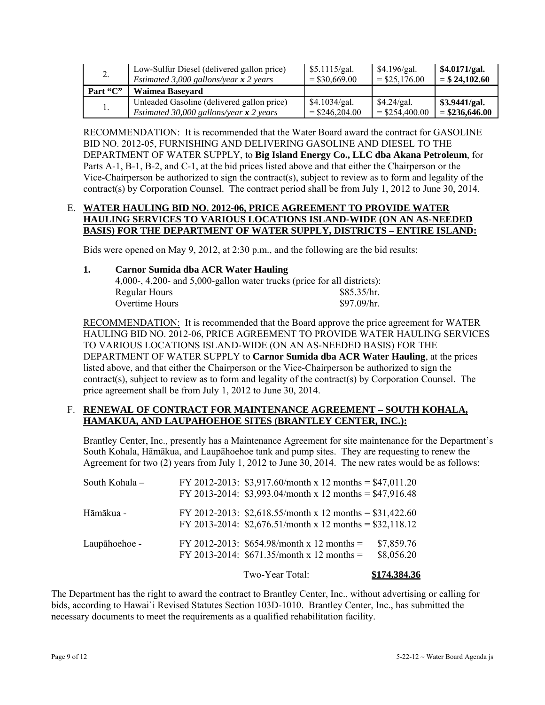| 2.       | Low-Sulfur Diesel (delivered gallon price) | \$5.1115/gal.    | \$4.196/gal.     | \$4.0171/gal.    |
|----------|--------------------------------------------|------------------|------------------|------------------|
|          | Estimated 3,000 gallons/year $x$ 2 years   | $=$ \$30,669.00  | $=$ \$25,176.00  | $=$ \$24,102.60  |
| Part "C" | Waimea Baseyard                            |                  |                  |                  |
|          | Unleaded Gasoline (delivered gallon price) | \$4.1034/gal.    | \$4.24/gal.      | \$3.9441/gal.    |
|          | Estimated 30,000 gallons/year $x$ 2 years  | $=$ \$246,204.00 | $=$ \$254,400.00 | $=$ \$236,646.00 |

RECOMMENDATION: It is recommended that the Water Board award the contract for GASOLINE BID NO. 2012-05, FURNISHING AND DELIVERING GASOLINE AND DIESEL TO THE DEPARTMENT OF WATER SUPPLY, to **Big Island Energy Co., LLC dba Akana Petroleum**, for Parts A-1, B-1, B-2, and C-1, at the bid prices listed above and that either the Chairperson or the Vice-Chairperson be authorized to sign the contract(s), subject to review as to form and legality of the contract(s) by Corporation Counsel. The contract period shall be from July 1, 2012 to June 30, 2014.

### E. **WATER HAULING BID NO. 2012-06, PRICE AGREEMENT TO PROVIDE WATER HAULING SERVICES TO VARIOUS LOCATIONS ISLAND-WIDE (ON AN AS-NEEDED BASIS) FOR THE DEPARTMENT OF WATER SUPPLY, DISTRICTS – ENTIRE ISLAND:**

Bids were opened on May 9, 2012, at 2:30 p.m., and the following are the bid results:

| 1. | <b>Carnor Sumida dba ACR Water Hauling</b>                              |             |  |  |
|----|-------------------------------------------------------------------------|-------------|--|--|
|    | 4,000-, 4,200- and 5,000-gallon water trucks (price for all districts): |             |  |  |
|    | Regular Hours                                                           | \$85.35/hr. |  |  |
|    | Overtime Hours                                                          | \$97.09/hr. |  |  |

RECOMMENDATION: It is recommended that the Board approve the price agreement for WATER HAULING BID NO. 2012-06, PRICE AGREEMENT TO PROVIDE WATER HAULING SERVICES TO VARIOUS LOCATIONS ISLAND-WIDE (ON AN AS-NEEDED BASIS) FOR THE DEPARTMENT OF WATER SUPPLY to **Carnor Sumida dba ACR Water Hauling**, at the prices listed above, and that either the Chairperson or the Vice-Chairperson be authorized to sign the contract(s), subject to review as to form and legality of the contract(s) by Corporation Counsel. The price agreement shall be from July 1, 2012 to June 30, 2014.

## F. **RENEWAL OF CONTRACT FOR MAINTENANCE AGREEMENT – SOUTH KOHALA, HAMAKUA, AND LAUPAHOEHOE SITES (BRANTLEY CENTER, INC.):**

Brantley Center, Inc., presently has a Maintenance Agreement for site maintenance for the Department's South Kohala, Hāmākua, and Laupāhoehoe tank and pump sites. They are requesting to renew the Agreement for two (2) years from July 1, 2012 to June 30, 2014. The new rates would be as follows:

| South Kohala- | FY 2012-2013: \$3,917.60/month x 12 months = \$47,011.20<br>FY 2013-2014: $$3,993.04/month x 12 months = $47,916.48$ |                          |
|---------------|----------------------------------------------------------------------------------------------------------------------|--------------------------|
| Hāmākua -     | FY 2012-2013: \$2,618.55/month x 12 months = \$31,422.60<br>FY 2013-2014: $$2,676.51/month x 12 months = $32,118.12$ |                          |
| Laupāhoehoe - | FY 2012-2013: $$654.98/month x 12 months =$<br>FY 2013-2014: $$671.35/month x 12 months =$                           | \$7,859.76<br>\$8,056.20 |
|               | Two-Year Total:                                                                                                      | \$174.384.36             |

The Department has the right to award the contract to Brantley Center, Inc., without advertising or calling for bids, according to Hawai`i Revised Statutes Section 103D-1010. Brantley Center, Inc., has submitted the necessary documents to meet the requirements as a qualified rehabilitation facility.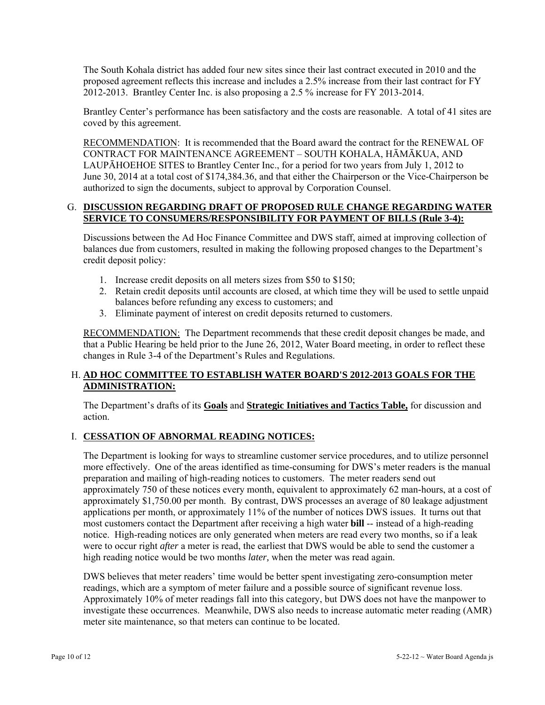The South Kohala district has added four new sites since their last contract executed in 2010 and the proposed agreement reflects this increase and includes a 2.5% increase from their last contract for FY 2012-2013. Brantley Center Inc. is also proposing a 2.5 % increase for FY 2013-2014.

Brantley Center's performance has been satisfactory and the costs are reasonable. A total of 41 sites are coved by this agreement.

RECOMMENDATION: It is recommended that the Board award the contract for the RENEWAL OF CONTRACT FOR MAINTENANCE AGREEMENT – SOUTH KOHALA, HĀMĀKUA, AND LAUPĀHOEHOE SITES to Brantley Center Inc., for a period for two years from July 1, 2012 to June 30, 2014 at a total cost of \$174,384.36, and that either the Chairperson or the Vice-Chairperson be authorized to sign the documents, subject to approval by Corporation Counsel.

### G. **DISCUSSION REGARDING DRAFT OF PROPOSED RULE CHANGE REGARDING WATER SERVICE TO CONSUMERS/RESPONSIBILITY FOR PAYMENT OF BILLS (Rule 3-4):**

Discussions between the Ad Hoc Finance Committee and DWS staff, aimed at improving collection of balances due from customers, resulted in making the following proposed changes to the Department's credit deposit policy:

- 1. Increase credit deposits on all meters sizes from \$50 to \$150;
- 2. Retain credit deposits until accounts are closed, at which time they will be used to settle unpaid balances before refunding any excess to customers; and
- 3. Eliminate payment of interest on credit deposits returned to customers.

RECOMMENDATION: The Department recommends that these credit deposit changes be made, and that a Public Hearing be held prior to the June 26, 2012, Water Board meeting, in order to reflect these changes in Rule 3-4 of the Department's Rules and Regulations.

# H. **AD HOC COMMITTEE TO ESTABLISH WATER BOARD'S 2012-2013 GOALS FOR THE ADMINISTRATION:**

The Department's drafts of its **Goals** and **Strategic Initiatives and Tactics Table,** for discussion and action.

# I. **CESSATION OF ABNORMAL READING NOTICES:**

The Department is looking for ways to streamline customer service procedures, and to utilize personnel more effectively. One of the areas identified as time-consuming for DWS's meter readers is the manual preparation and mailing of high-reading notices to customers. The meter readers send out approximately 750 of these notices every month, equivalent to approximately 62 man-hours, at a cost of approximately \$1,750.00 per month. By contrast, DWS processes an average of 80 leakage adjustment applications per month, or approximately 11% of the number of notices DWS issues. It turns out that most customers contact the Department after receiving a high water **bill** -- instead of a high-reading notice. High-reading notices are only generated when meters are read every two months, so if a leak were to occur right *after* a meter is read, the earliest that DWS would be able to send the customer a high reading notice would be two months *later,* when the meter was read again.

DWS believes that meter readers' time would be better spent investigating zero-consumption meter readings, which are a symptom of meter failure and a possible source of significant revenue loss. Approximately 10% of meter readings fall into this category, but DWS does not have the manpower to investigate these occurrences. Meanwhile, DWS also needs to increase automatic meter reading (AMR) meter site maintenance, so that meters can continue to be located.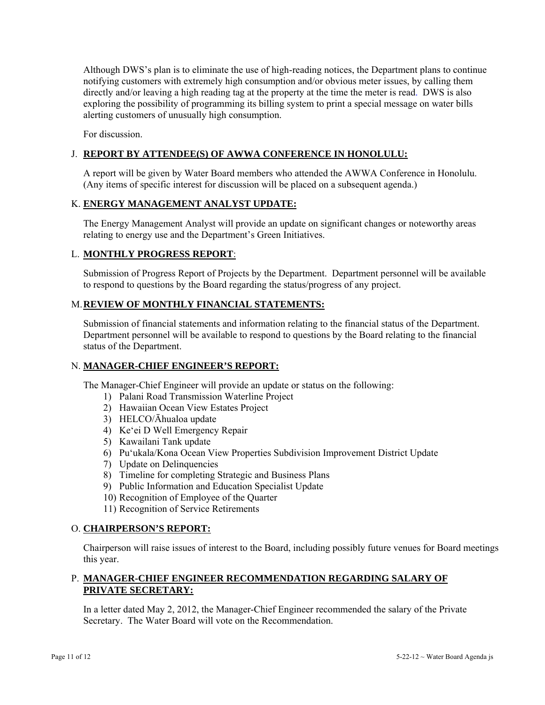Although DWS's plan is to eliminate the use of high-reading notices, the Department plans to continue notifying customers with extremely high consumption and/or obvious meter issues, by calling them directly and/or leaving a high reading tag at the property at the time the meter is read. DWS is also exploring the possibility of programming its billing system to print a special message on water bills alerting customers of unusually high consumption.

For discussion.

# J. **REPORT BY ATTENDEE(S) OF AWWA CONFERENCE IN HONOLULU:**

A report will be given by Water Board members who attended the AWWA Conference in Honolulu. (Any items of specific interest for discussion will be placed on a subsequent agenda.)

## K. **ENERGY MANAGEMENT ANALYST UPDATE:**

The Energy Management Analyst will provide an update on significant changes or noteworthy areas relating to energy use and the Department's Green Initiatives.

# L. **MONTHLY PROGRESS REPORT**:

Submission of Progress Report of Projects by the Department. Department personnel will be available to respond to questions by the Board regarding the status/progress of any project.

### M. **REVIEW OF MONTHLY FINANCIAL STATEMENTS:**

Submission of financial statements and information relating to the financial status of the Department. Department personnel will be available to respond to questions by the Board relating to the financial status of the Department.

### N. **MANAGER-CHIEF ENGINEER'S REPORT:**

The Manager-Chief Engineer will provide an update or status on the following:

- 1) Palani Road Transmission Waterline Project
- 2) Hawaiian Ocean View Estates Project
- 3) HELCO/Āhualoa update
- 4) Ke'ei D Well Emergency Repair
- 5) Kawailani Tank update
- 6) Pu'ukala/Kona Ocean View Properties Subdivision Improvement District Update
- 7) Update on Delinquencies
- 8) Timeline for completing Strategic and Business Plans
- 9) Public Information and Education Specialist Update
- 10) Recognition of Employee of the Quarter
- 11) Recognition of Service Retirements

### O. **CHAIRPERSON'S REPORT:**

Chairperson will raise issues of interest to the Board, including possibly future venues for Board meetings this year.

### P. **MANAGER-CHIEF ENGINEER RECOMMENDATION REGARDING SALARY OF PRIVATE SECRETARY:**

In a letter dated May 2, 2012, the Manager-Chief Engineer recommended the salary of the Private Secretary. The Water Board will vote on the Recommendation.